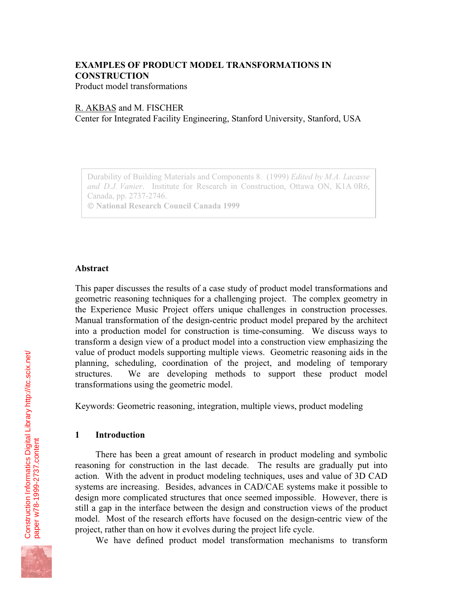# **EXAMPLES OF PRODUCT MODEL TRANSFORMATIONS IN CONSTRUCTION**

Product model transformations

# R. AKBAS and M. FISCHER

Center for Integrated Facility Engineering, Stanford University, Stanford, USA

Durability of Building Materials and Components 8. (1999) *Edited by M.A. Lacasse and D.J. Vanier*. Institute for Research in Construction, Ottawa ON, K1A 0R6, Canada, pp. 2737-2746.  **National Research Council Canada 1999**

#### **Abstract**

This paper discusses the results of a case study of product model transformations and geometric reasoning techniques for a challenging project. The complex geometry in the Experience Music Project offers unique challenges in construction processes. Manual transformation of the design-centric product model prepared by the architect into a production model for construction is time-consuming. We discuss ways to transform a design view of a product model into a construction view emphasizing the value of product models supporting multiple views. Geometric reasoning aids in the planning, scheduling, coordination of the project, and modeling of temporary structures. We are developing methods to support these product model transformations using the geometric model.

Keywords: Geometric reasoning, integration, multiple views, product modeling

# **1 Introduction**

There has been a great amount of research in product modeling and symbolic reasoning for construction in the last decade. The results are gradually put into action. With the advent in product modeling techniques, uses and value of 3D CAD systems are increasing. Besides, advances in CAD/CAE systems make it possible to design more complicated structures that once seemed impossible. However, there is still a gap in the interface between the design and construction views of the product model. Most of the research efforts have focused on the design-centric view of the project, rather than on how it evolves during the project life cycle.

We have defined product model transformation mechanisms to transform

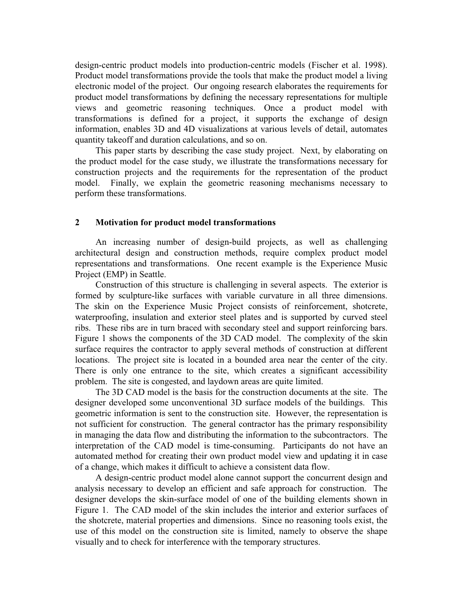design-centric product models into production-centric models (Fischer et al. 1998). Product model transformations provide the tools that make the product model a living electronic model of the project. Our ongoing research elaborates the requirements for product model transformations by defining the necessary representations for multiple views and geometric reasoning techniques. Once a product model with transformations is defined for a project, it supports the exchange of design information, enables 3D and 4D visualizations at various levels of detail, automates quantity takeoff and duration calculations, and so on.

This paper starts by describing the case study project. Next, by elaborating on the product model for the case study, we illustrate the transformations necessary for construction projects and the requirements for the representation of the product model. Finally, we explain the geometric reasoning mechanisms necessary to perform these transformations.

## **2 Motivation for product model transformations**

An increasing number of design-build projects, as well as challenging architectural design and construction methods, require complex product model representations and transformations. One recent example is the Experience Music Project (EMP) in Seattle.

Construction of this structure is challenging in several aspects. The exterior is formed by sculpture-like surfaces with variable curvature in all three dimensions. The skin on the Experience Music Project consists of reinforcement, shotcrete, waterproofing, insulation and exterior steel plates and is supported by curved steel ribs. These ribs are in turn braced with secondary steel and support reinforcing bars. Figure 1 shows the components of the 3D CAD model. The complexity of the skin surface requires the contractor to apply several methods of construction at different locations. The project site is located in a bounded area near the center of the city. There is only one entrance to the site, which creates a significant accessibility problem. The site is congested, and laydown areas are quite limited.

The 3D CAD model is the basis for the construction documents at the site. The designer developed some unconventional 3D surface models of the buildings. This geometric information is sent to the construction site. However, the representation is not sufficient for construction. The general contractor has the primary responsibility in managing the data flow and distributing the information to the subcontractors. The interpretation of the CAD model is time-consuming. Participants do not have an automated method for creating their own product model view and updating it in case of a change, which makes it difficult to achieve a consistent data flow.

A design-centric product model alone cannot support the concurrent design and analysis necessary to develop an efficient and safe approach for construction. The designer develops the skin-surface model of one of the building elements shown in Figure 1. The CAD model of the skin includes the interior and exterior surfaces of the shotcrete, material properties and dimensions. Since no reasoning tools exist, the use of this model on the construction site is limited, namely to observe the shape visually and to check for interference with the temporary structures.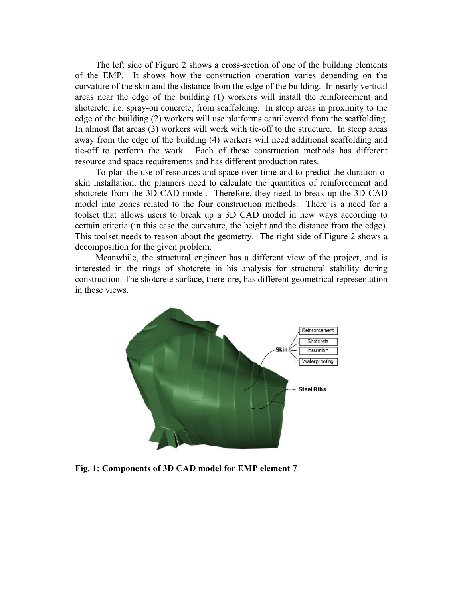The left side of Figure 2 shows a cross-section of one of the building elements of the EMP. It shows how the construction operation varies depending on the curvature of the skin and the distance from the edge of the building. In nearly vertical areas near the edge of the building (1) workers will install the reinforcement and shotcrete, i.e. spray-on concrete, from scaffolding. In steep areas in proximity to the edge of the building (2) workers will use platforms cantilevered from the scaffolding. In almost flat areas (3) workers will work with tie-off to the structure. In steep areas away from the edge of the building (4) workers will need additional scaffolding and tie-off to perform the work. Each of these construction methods has different resource and space requirements and has different production rates.

To plan the use of resources and space over time and to predict the duration of skin installation, the planners need to calculate the quantities of reinforcement and shotcrete from the 3D CAD model. Therefore, they need to break up the 3D CAD model into zones related to the four construction methods. There is a need for a toolset that allows users to break up a 3D CAD model in new ways according to certain criteria (in this case the curvature, the height and the distance from the edge). This toolset needs to reason about the geometry. The right side of Figure 2 shows a decomposition for the given problem.

Meanwhile, the structural engineer has a different view of the project, and is interested in the rings of shotcrete in his analysis for structural stability during construction. The shotcrete surface, therefore, has different geometrical representation in these views.



**Fig. 1: Components of 3D CAD model for EMP element 7**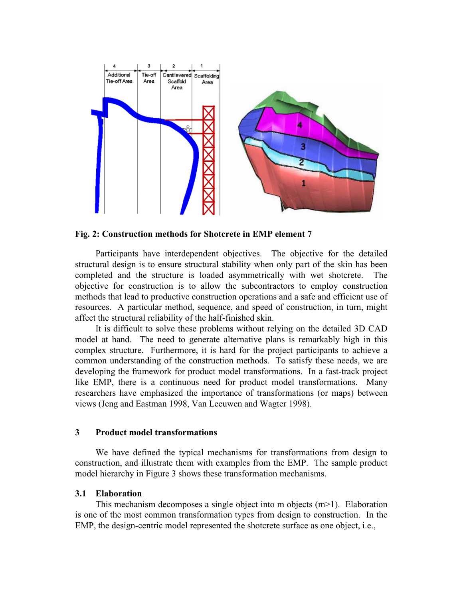

**Fig. 2: Construction methods for Shotcrete in EMP element 7**

Participants have interdependent objectives. The objective for the detailed structural design is to ensure structural stability when only part of the skin has been completed and the structure is loaded asymmetrically with wet shotcrete. The objective for construction is to allow the subcontractors to employ construction methods that lead to productive construction operations and a safe and efficient use of resources. A particular method, sequence, and speed of construction, in turn, might affect the structural reliability of the half-finished skin.

It is difficult to solve these problems without relying on the detailed 3D CAD model at hand. The need to generate alternative plans is remarkably high in this complex structure. Furthermore, it is hard for the project participants to achieve a common understanding of the construction methods. To satisfy these needs, we are developing the framework for product model transformations. In a fast-track project like EMP, there is a continuous need for product model transformations. Many researchers have emphasized the importance of transformations (or maps) between views (Jeng and Eastman 1998, Van Leeuwen and Wagter 1998).

## **3 Product model transformations**

We have defined the typical mechanisms for transformations from design to construction, and illustrate them with examples from the EMP. The sample product model hierarchy in Figure 3 shows these transformation mechanisms.

#### **3.1 Elaboration**

This mechanism decomposes a single object into m objects  $(m>1)$ . Elaboration is one of the most common transformation types from design to construction. In the EMP, the design-centric model represented the shotcrete surface as one object, i.e.,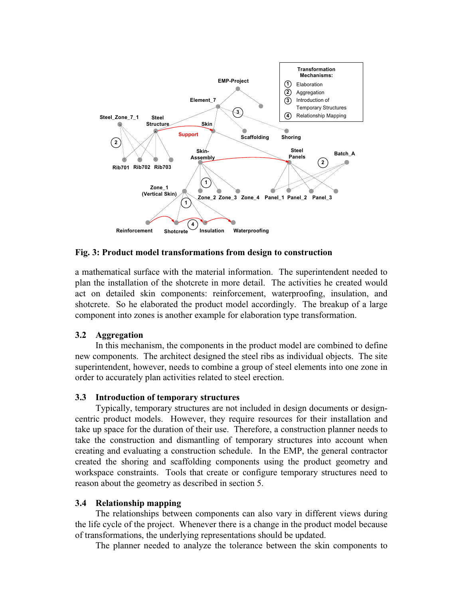

**Fig. 3: Product model transformations from design to construction**

a mathematical surface with the material information. The superintendent needed to plan the installation of the shotcrete in more detail. The activities he created would act on detailed skin components: reinforcement, waterproofing, insulation, and shotcrete. So he elaborated the product model accordingly. The breakup of a large component into zones is another example for elaboration type transformation.

# **3.2 Aggregation**

In this mechanism, the components in the product model are combined to define new components. The architect designed the steel ribs as individual objects. The site superintendent, however, needs to combine a group of steel elements into one zone in order to accurately plan activities related to steel erection.

# **3.3 Introduction of temporary structures**

Typically, temporary structures are not included in design documents or designcentric product models. However, they require resources for their installation and take up space for the duration of their use. Therefore, a construction planner needs to take the construction and dismantling of temporary structures into account when creating and evaluating a construction schedule. In the EMP, the general contractor created the shoring and scaffolding components using the product geometry and workspace constraints. Tools that create or configure temporary structures need to reason about the geometry as described in section 5.

# **3.4 Relationship mapping**

The relationships between components can also vary in different views during the life cycle of the project. Whenever there is a change in the product model because of transformations, the underlying representations should be updated.

The planner needed to analyze the tolerance between the skin components to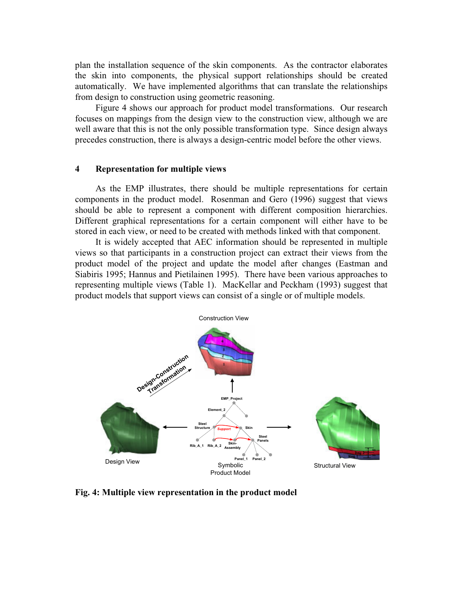plan the installation sequence of the skin components. As the contractor elaborates the skin into components, the physical support relationships should be created automatically. We have implemented algorithms that can translate the relationships from design to construction using geometric reasoning.

Figure 4 shows our approach for product model transformations. Our research focuses on mappings from the design view to the construction view, although we are well aware that this is not the only possible transformation type. Since design always precedes construction, there is always a design-centric model before the other views.

#### **4 Representation for multiple views**

As the EMP illustrates, there should be multiple representations for certain components in the product model. Rosenman and Gero (1996) suggest that views should be able to represent a component with different composition hierarchies. Different graphical representations for a certain component will either have to be stored in each view, or need to be created with methods linked with that component.

It is widely accepted that AEC information should be represented in multiple views so that participants in a construction project can extract their views from the product model of the project and update the model after changes (Eastman and Siabiris 1995; Hannus and Pietilainen 1995). There have been various approaches to representing multiple views (Table 1). MacKellar and Peckham (1993) suggest that product models that support views can consist of a single or of multiple models.



**Fig. 4: Multiple view representation in the product model**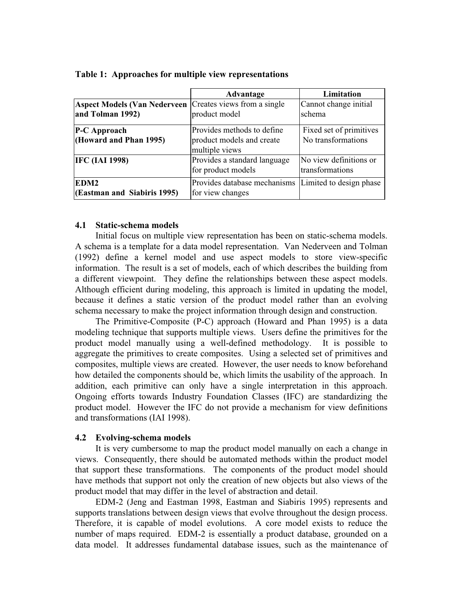|                                                         | Advantage                                                                 | Limitation                                    |
|---------------------------------------------------------|---------------------------------------------------------------------------|-----------------------------------------------|
| <b>Aspect Models (Van Nederveen</b><br>and Tolman 1992) | Creates views from a single<br>product model                              | Cannot change initial<br>schema               |
| <b>P-C Approach</b><br>(Howard and Phan 1995)           | Provides methods to define<br>product models and create<br>multiple views | Fixed set of primitives<br>No transformations |
| <b>IFC (IAI 1998)</b>                                   | Provides a standard language<br>for product models                        | No view definitions or<br>transformations     |
| EDM <sub>2</sub><br>(Eastman and Siabiris 1995)         | Provides database mechanisms<br>for view changes                          | Limited to design phase                       |

#### **Table 1: Approaches for multiple view representations**

## **4.1 Static-schema models**

Initial focus on multiple view representation has been on static-schema models. A schema is a template for a data model representation. Van Nederveen and Tolman (1992) define a kernel model and use aspect models to store view-specific information. The result is a set of models, each of which describes the building from a different viewpoint. They define the relationships between these aspect models. Although efficient during modeling, this approach is limited in updating the model, because it defines a static version of the product model rather than an evolving schema necessary to make the project information through design and construction.

The Primitive-Composite (P-C) approach (Howard and Phan 1995) is a data modeling technique that supports multiple views. Users define the primitives for the product model manually using a well-defined methodology. It is possible to aggregate the primitives to create composites. Using a selected set of primitives and composites, multiple views are created. However, the user needs to know beforehand how detailed the components should be, which limits the usability of the approach. In addition, each primitive can only have a single interpretation in this approach. Ongoing efforts towards Industry Foundation Classes (IFC) are standardizing the product model. However the IFC do not provide a mechanism for view definitions and transformations (IAI 1998).

## **4.2 Evolving-schema models**

It is very cumbersome to map the product model manually on each a change in views. Consequently, there should be automated methods within the product model that support these transformations. The components of the product model should have methods that support not only the creation of new objects but also views of the product model that may differ in the level of abstraction and detail.

EDM-2 (Jeng and Eastman 1998, Eastman and Siabiris 1995) represents and supports translations between design views that evolve throughout the design process. Therefore, it is capable of model evolutions. A core model exists to reduce the number of maps required. EDM-2 is essentially a product database, grounded on a data model. It addresses fundamental database issues, such as the maintenance of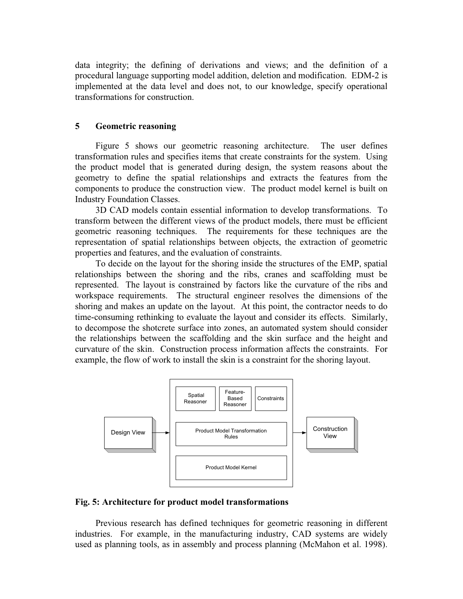data integrity; the defining of derivations and views; and the definition of a procedural language supporting model addition, deletion and modification. EDM-2 is implemented at the data level and does not, to our knowledge, specify operational transformations for construction.

## **5 Geometric reasoning**

Figure 5 shows our geometric reasoning architecture. The user defines transformation rules and specifies items that create constraints for the system. Using the product model that is generated during design, the system reasons about the geometry to define the spatial relationships and extracts the features from the components to produce the construction view. The product model kernel is built on Industry Foundation Classes.

3D CAD models contain essential information to develop transformations. To transform between the different views of the product models, there must be efficient geometric reasoning techniques. The requirements for these techniques are the representation of spatial relationships between objects, the extraction of geometric properties and features, and the evaluation of constraints.

To decide on the layout for the shoring inside the structures of the EMP, spatial relationships between the shoring and the ribs, cranes and scaffolding must be represented. The layout is constrained by factors like the curvature of the ribs and workspace requirements. The structural engineer resolves the dimensions of the shoring and makes an update on the layout. At this point, the contractor needs to do time-consuming rethinking to evaluate the layout and consider its effects. Similarly, to decompose the shotcrete surface into zones, an automated system should consider the relationships between the scaffolding and the skin surface and the height and curvature of the skin. Construction process information affects the constraints. For example, the flow of work to install the skin is a constraint for the shoring layout.



## **Fig. 5: Architecture for product model transformations**

Previous research has defined techniques for geometric reasoning in different industries. For example, in the manufacturing industry, CAD systems are widely used as planning tools, as in assembly and process planning (McMahon et al. 1998).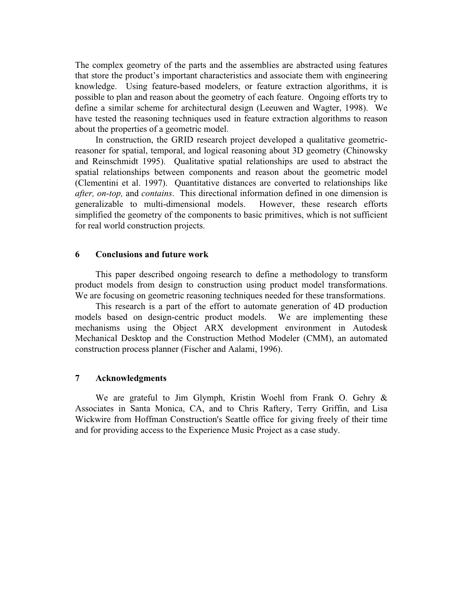The complex geometry of the parts and the assemblies are abstracted using features that store the product's important characteristics and associate them with engineering knowledge. Using feature-based modelers, or feature extraction algorithms, it is possible to plan and reason about the geometry of each feature. Ongoing efforts try to define a similar scheme for architectural design (Leeuwen and Wagter, 1998). We have tested the reasoning techniques used in feature extraction algorithms to reason about the properties of a geometric model.

In construction, the GRID research project developed a qualitative geometricreasoner for spatial, temporal, and logical reasoning about 3D geometry (Chinowsky and Reinschmidt 1995). Qualitative spatial relationships are used to abstract the spatial relationships between components and reason about the geometric model (Clementini et al. 1997). Quantitative distances are converted to relationships like *after, on-top,* and *contains*. This directional information defined in one dimension is generalizable to multi-dimensional models. However, these research efforts simplified the geometry of the components to basic primitives, which is not sufficient for real world construction projects.

# **6 Conclusions and future work**

This paper described ongoing research to define a methodology to transform product models from design to construction using product model transformations. We are focusing on geometric reasoning techniques needed for these transformations.

This research is a part of the effort to automate generation of 4D production models based on design-centric product models. We are implementing these mechanisms using the Object ARX development environment in Autodesk Mechanical Desktop and the Construction Method Modeler (CMM), an automated construction process planner (Fischer and Aalami, 1996).

## **7 Acknowledgments**

We are grateful to Jim Glymph, Kristin Woehl from Frank O. Gehry & Associates in Santa Monica, CA, and to Chris Raftery, Terry Griffin, and Lisa Wickwire from Hoffman Construction's Seattle office for giving freely of their time and for providing access to the Experience Music Project as a case study.